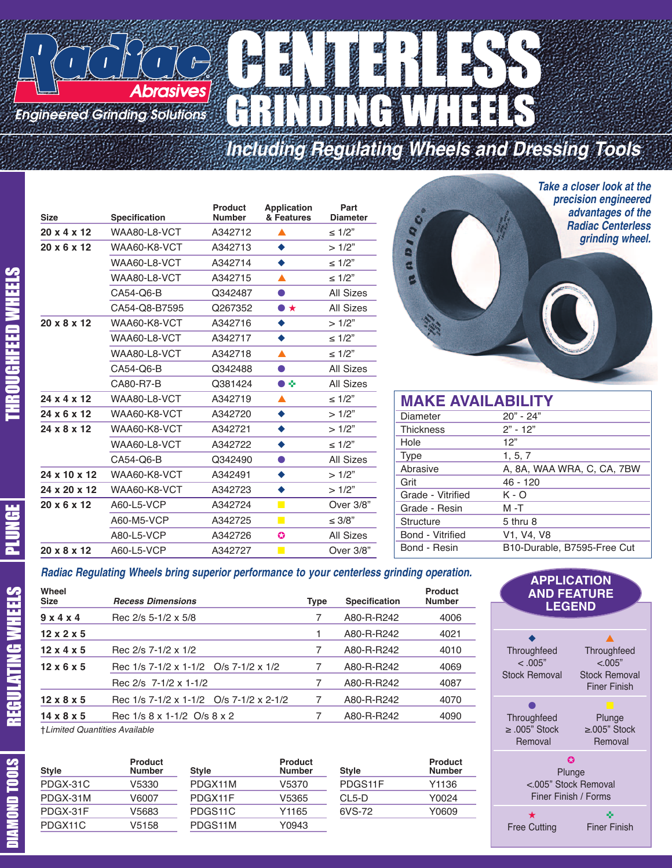### CENTERS **Abrasives** GRINDING WHEELS *Engineered Grinding Solutions*

## *Including Regulating Wheels and Dressing Tools*

|   | <b>Size</b>  | Specification | <b>Product</b><br><b>Number</b> | <b>Application</b><br>& Features | Part<br><b>Diameter</b> | $\bullet$                      | <i>precision enginee</i><br>advantages of |
|---|--------------|---------------|---------------------------------|----------------------------------|-------------------------|--------------------------------|-------------------------------------------|
|   | 20 x 4 x 12  | WAA80-L8-VCT  | A342712                         |                                  | $\leq 1/2"$             | Q                              | <b>Radiac Centerl</b><br>grinding wh      |
|   | 20 x 6 x 12  | WAA60-K8-VCT  | A342713                         | $\bullet$                        | >1/2"                   | A.                             |                                           |
|   |              | WAA60-L8-VCT  | A342714                         | $\bullet$                        | $\leq 1/2"$             |                                |                                           |
|   |              | WAA80-L8-VCT  | A342715                         | $\blacktriangle$                 | $\leq 1/2"$             |                                |                                           |
|   |              | CA54-Q6-B     | Q342487                         | $\bullet$                        | <b>All Sizes</b>        |                                |                                           |
|   |              | CA54-Q8-B7595 | Q267352                         | $\bullet\star$                   | <b>All Sizes</b>        |                                |                                           |
|   | 20 x 8 x 12  | WAA60-K8-VCT  | A342716                         | ۰                                | >1/2"                   |                                |                                           |
| m |              | WAA60-L8-VCT  | A342717                         | ۰                                | $\leq 1/2"$             |                                |                                           |
|   |              | WAA80-L8-VCT  | A342718                         | ▲                                | $\leq 1/2"$             |                                |                                           |
|   |              | CA54-Q6-B     | Q342488                         | $\bullet$                        | <b>All Sizes</b>        |                                |                                           |
|   |              | CA80-R7-B     | Q381424                         | $\bullet$                        | <b>All Sizes</b>        |                                |                                           |
|   | 24 x 4 x 12  | WAA80-L8-VCT  | A342719                         | ▲                                | $\leq 1/2"$             | <b>MAKE AVAILABILITY</b>       |                                           |
|   | 24 x 6 x 12  | WAA60-K8-VCT  | A342720                         | ۰                                | >1/2"                   | Diameter                       | $20" - 24"$                               |
|   | 24 x 8 x 12  | WAA60-K8-VCT  | A342721                         | $\bullet$                        | >1/2"                   | <b>Thickness</b><br>$2" - 12"$ |                                           |
|   |              | WAA60-L8-VCT  | A342722                         | ۰                                | $\leq 1/2"$             | 12"<br>Hole                    |                                           |
|   |              | CA54-Q6-B     | Q342490                         | $\bullet$                        | <b>All Sizes</b>        | 1, 5, 7<br><b>Type</b>         |                                           |
|   | 24 x 10 x 12 | WAA60-K8-VCT  | A342491                         | $\bullet$                        | >1/2"                   | Abrasive<br>Grit               | A, 8A, WAA WRA, C, CA, 7B\<br>$46 - 120$  |
|   | 24 x 20 x 12 | WAA60-K8-VCT  | A342723                         | $\bullet$                        | >1/2"                   | Grade - Vitrified<br>$K - O$   |                                           |
|   | 20 x 6 x 12  | A60-L5-VCP    | A342724                         | $\mathbf{r}$                     | Over 3/8"               | Grade - Resin<br>$M - T$       |                                           |
|   |              | A60-M5-VCP    | A342725                         | $\blacksquare$                   | $\leq 3/8"$             | 5 thru 8<br><b>Structure</b>   |                                           |
|   |              | A80-L5-VCP    | A342726                         | $\bullet$                        | <b>All Sizes</b>        | Bond - Vitrified               | V1, V4, V8                                |
|   | 20 x 8 x 12  | A60-L5-VCP    | A342727                         | $\mathbf{r}$                     | Over 3/8"               | Bond - Resin                   | B10-Durable, B7595-Free Cut               |
|   |              |               |                                 |                                  |                         |                                |                                           |



| <b>MAKE AVAILABILITY</b> |                             |  |  |  |  |
|--------------------------|-----------------------------|--|--|--|--|
| Diameter                 | $20" - 24"$                 |  |  |  |  |
| <b>Thickness</b>         | $2" - 12"$                  |  |  |  |  |
| Hole                     | 12"                         |  |  |  |  |
| <b>Type</b>              | 1, 5, 7                     |  |  |  |  |
| Abrasive                 | A, 8A, WAA WRA, C, CA, 7BW  |  |  |  |  |
| Grit                     | $46 - 120$                  |  |  |  |  |
| Grade - Vitrified        | $K - O$                     |  |  |  |  |
| Grade - Resin            | $M - T$                     |  |  |  |  |
| Structure                | 5 thru 8                    |  |  |  |  |
| Bond - Vitrified         | V1, V4, V8                  |  |  |  |  |
| Bond - Resin             | B10-Durable, B7595-Free Cut |  |  |  |  |

#### *Radiac Regulating Wheels bring superior performance to your centerless grinding operation.*

| Wheel<br><b>Size</b>            | <b>Recess Dimensions</b>                | Type | <b>Specification</b> | <b>Product</b><br><b>Number</b> |
|---------------------------------|-----------------------------------------|------|----------------------|---------------------------------|
| 9x4x4                           | Rec 2/s 5-1/2 x 5/8                     |      | A80-R-R242           | 4006                            |
| $12 \times 2 \times 5$          |                                         |      | A80-R-R242           | 4021                            |
| $12 \times 4 \times 5$          | Rec 2/s 7-1/2 x 1/2                     | 7    | A80-R-R242           | 4010                            |
| $12 \times 6 \times 5$          | Rec 1/s 7-1/2 x 1-1/2 O/s 7-1/2 x 1/2   |      | A80-R-R242           | 4069                            |
|                                 | Rec 2/s 7-1/2 x 1-1/2                   |      | A80-R-R242           | 4087                            |
| $12 \times 8 \times 5$          | Rec 1/s 7-1/2 x 1-1/2 O/s 7-1/2 x 2-1/2 | 7    | A80-R-R242           | 4070                            |
| $14 \times 8 \times 5$          | Rec 1/s 8 x 1-1/2 O/s 8 x 2             |      | A80-R-R242           | 4090                            |
| $+1$ imitad Ougnitian Available |                                         |      |                      |                                 |

†*Limited Quantities Available* <sup>R</sup>

| <b>Style</b> | <b>Product</b><br><b>Number</b> | <b>Style</b> | <b>Product</b><br><b>Number</b> | <b>Style</b> | <b>Product</b><br><b>Number</b> |
|--------------|---------------------------------|--------------|---------------------------------|--------------|---------------------------------|
| PDGX-31C     | V5330                           | PDGX11M      | V5370                           | PDGS11F      | Y1136                           |
| PDGX-31M     | V6007                           | PDGX11F      | V5365                           | CL5-D        | Y0024                           |
| PDGX-31F     | V5683                           | PDGS11C      | Y1165                           | 6VS-72       | Y0609                           |
| PDGX11C      | V5158                           | PDGS11M      | Y0943                           |              |                                 |
|              |                                 |              |                                 |              |                                 |



E